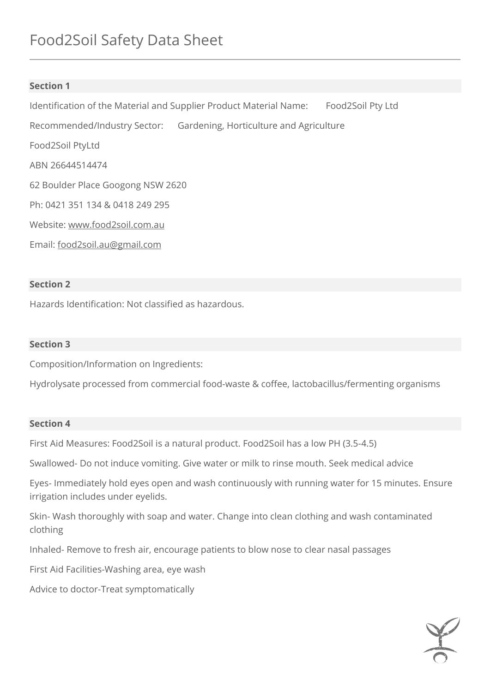# **Section 1**

Identification of the Material and Supplier Product Material Name: Food2Soil Pty Ltd Recommended/Industry Sector: Gardening, Horticulture and Agriculture Food2Soil PtyLtd ABN 26644514474 62 Boulder Place Googong NSW 2620 Ph: 0421 351 134 & 0418 249 295 Website: [www.food2soil.com.au](http://www.food2soil.com.au/) Email: [food2soil.au@gmail.com](mailto:food2soil.au@gmail.com) 

## **Section 2**

Hazards Identification: Not classified as hazardous.

### **Section 3**

Composition/Information on Ingredients:

Hydrolysate processed from commercial food-waste & coffee, lactobacillus/fermenting organisms

### **Section 4**

First Aid Measures: Food2Soil is a natural product. Food2Soil has a low PH (3.5-4.5)

Swallowed- Do not induce vomiting. Give water or milk to rinse mouth. Seek medical advice

Eyes- Immediately hold eyes open and wash continuously with running water for 15 minutes. Ensure irrigation includes under eyelids.

Skin- Wash thoroughly with soap and water. Change into clean clothing and wash contaminated clothing

Inhaled- Remove to fresh air, encourage patients to blow nose to clear nasal passages

First Aid Facilities-Washing area, eye wash

Advice to doctor-Treat symptomatically

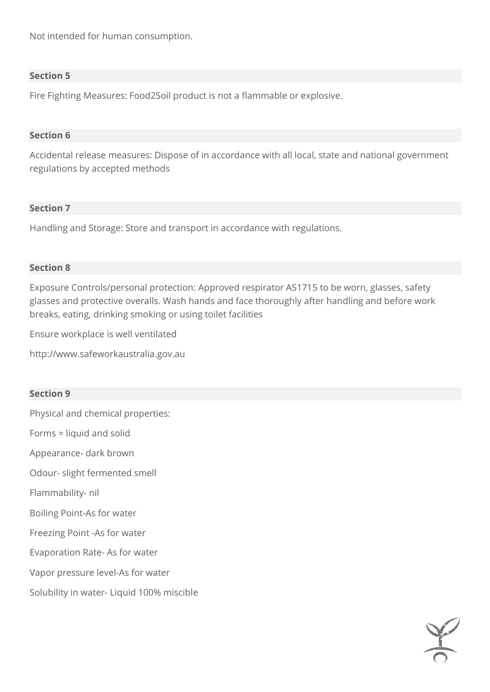Not intended for human consumption.

### **Section 5**

Fire Fighting Measures: Food2Soil product is not a flammable or explosive.

### **Section 6**

Accidental release measures: Dispose of in accordance with all local, state and national government regulations by accepted methods

### **Section 7**

Handling and Storage: Store and transport in accordance with regulations.

### **Section 8**

Exposure Controls/personal protection: Approved respirator AS1715 to be worn, glasses, safety glasses and protective overalls. Wash hands and face thoroughly after handling and before work breaks, eating, drinking smoking or using toilet facilities

Ensure workplace is well ventilated

http://www.safeworkaustralia.gov.au

### **Section 9**

Physical and chemical properties:

Forms = liquid and solid

Appearance- dark brown

Odour- slight fermented smell

Flammability- nil

Boiling Point-As for water

Freezing Point -As for water

Evaporation Rate- As for water

Vapor pressure level-As for water

Solubility in water- Liquid 100% miscible